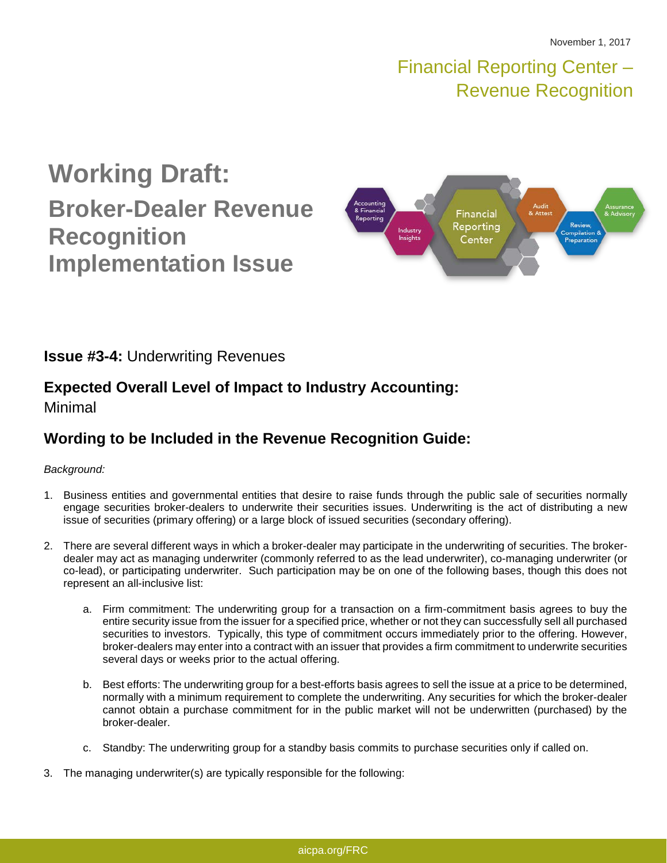## Financial Reporting Center – Revenue Recognition

# **Working Draft: Broker-Dealer Revenue Recognition Implementation Issue**



**Issue #3-4:** Underwriting Revenues

### **Expected Overall Level of Impact to Industry Accounting:**  Minimal

## **Wording to be Included in the Revenue Recognition Guide:**

#### *Background:*

- 1. Business entities and governmental entities that desire to raise funds through the public sale of securities normally engage securities broker-dealers to underwrite their securities issues. Underwriting is the act of distributing a new issue of securities (primary offering) or a large block of issued securities (secondary offering).
- 2. There are several different ways in which a broker-dealer may participate in the underwriting of securities. The brokerdealer may act as managing underwriter (commonly referred to as the lead underwriter), co-managing underwriter (or co-lead), or participating underwriter. Such participation may be on one of the following bases, though this does not represent an all-inclusive list:
	- a. Firm commitment: The underwriting group for a transaction on a firm-commitment basis agrees to buy the entire security issue from the issuer for a specified price, whether or not they can successfully sell all purchased securities to investors. Typically, this type of commitment occurs immediately prior to the offering. However, broker-dealers may enter into a contract with an issuer that provides a firm commitment to underwrite securities several days or weeks prior to the actual offering.
	- b. Best efforts: The underwriting group for a best-efforts basis agrees to sell the issue at a price to be determined, normally with a minimum requirement to complete the underwriting. Any securities for which the broker-dealer cannot obtain a purchase commitment for in the public market will not be underwritten (purchased) by the broker-dealer.
	- c. Standby: The underwriting group for a standby basis commits to purchase securities only if called on.
- 3. The managing underwriter(s) are typically responsible for the following: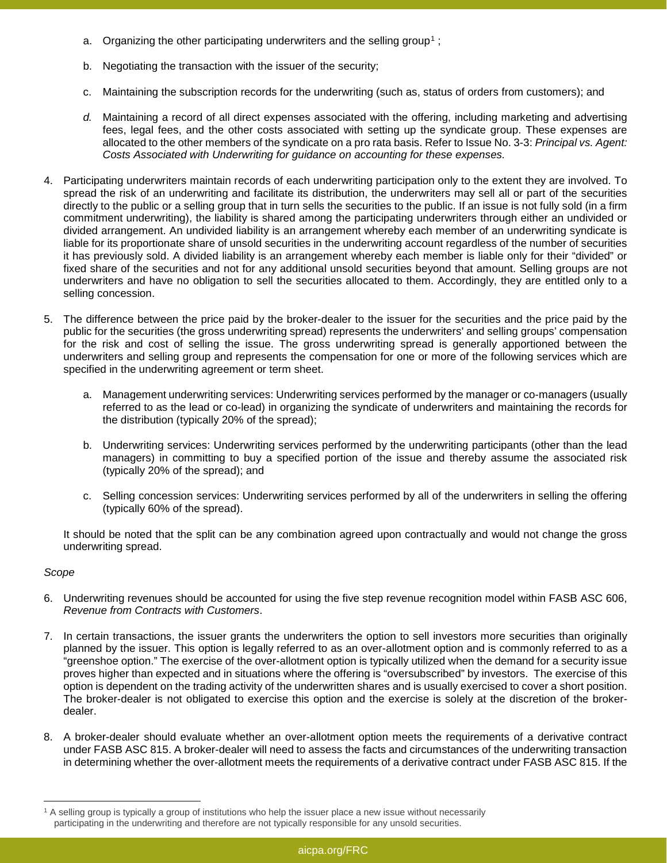- a. Organizing the other participating underwriters and the selling group<sup>[1](#page-1-0)</sup>;
- b. Negotiating the transaction with the issuer of the security;
- c. Maintaining the subscription records for the underwriting (such as, status of orders from customers); and
- *d.* Maintaining a record of all direct expenses associated with the offering, including marketing and advertising fees, legal fees, and the other costs associated with setting up the syndicate group. These expenses are allocated to the other members of the syndicate on a pro rata basis. Refer to Issue No. 3-3: *Principal vs. Agent: Costs Associated with Underwriting for guidance on accounting for these expenses.*
- 4. Participating underwriters maintain records of each underwriting participation only to the extent they are involved. To spread the risk of an underwriting and facilitate its distribution, the underwriters may sell all or part of the securities directly to the public or a selling group that in turn sells the securities to the public. If an issue is not fully sold (in a firm commitment underwriting), the liability is shared among the participating underwriters through either an undivided or divided arrangement. An undivided liability is an arrangement whereby each member of an underwriting syndicate is liable for its proportionate share of unsold securities in the underwriting account regardless of the number of securities it has previously sold. A divided liability is an arrangement whereby each member is liable only for their "divided" or fixed share of the securities and not for any additional unsold securities beyond that amount. Selling groups are not underwriters and have no obligation to sell the securities allocated to them. Accordingly, they are entitled only to a selling concession.
- 5. The difference between the price paid by the broker-dealer to the issuer for the securities and the price paid by the public for the securities (the gross underwriting spread) represents the underwriters' and selling groups' compensation for the risk and cost of selling the issue. The gross underwriting spread is generally apportioned between the underwriters and selling group and represents the compensation for one or more of the following services which are specified in the underwriting agreement or term sheet.
	- a. Management underwriting services: Underwriting services performed by the manager or co-managers (usually referred to as the lead or co-lead) in organizing the syndicate of underwriters and maintaining the records for the distribution (typically 20% of the spread);
	- b. Underwriting services: Underwriting services performed by the underwriting participants (other than the lead managers) in committing to buy a specified portion of the issue and thereby assume the associated risk (typically 20% of the spread); and
	- c. Selling concession services: Underwriting services performed by all of the underwriters in selling the offering (typically 60% of the spread).

It should be noted that the split can be any combination agreed upon contractually and would not change the gross underwriting spread.

#### *Scope*

 $\overline{a}$ 

- 6. Underwriting revenues should be accounted for using the five step revenue recognition model within FASB ASC 606, *Revenue from Contracts with Customers*.
- 7. In certain transactions, the issuer grants the underwriters the option to sell investors more securities than originally planned by the issuer. This option is legally referred to as an over-allotment option and is commonly referred to as a "greenshoe option." The exercise of the over-allotment option is typically utilized when the demand for a security issue proves higher than expected and in situations where the offering is "oversubscribed" by investors. The exercise of this option is dependent on the trading activity of the underwritten shares and is usually exercised to cover a short position. The broker-dealer is not obligated to exercise this option and the exercise is solely at the discretion of the brokerdealer.
- 8. A broker-dealer should evaluate whether an over-allotment option meets the requirements of a derivative contract under FASB ASC 815. A broker-dealer will need to assess the facts and circumstances of the underwriting transaction in determining whether the over-allotment meets the requirements of a derivative contract under FASB ASC 815. If the

<span id="page-1-0"></span> $<sup>1</sup>$  A selling group is typically a group of institutions who help the issuer place a new issue without necessarily</sup> participating in the underwriting and therefore are not typically responsible for any unsold securities.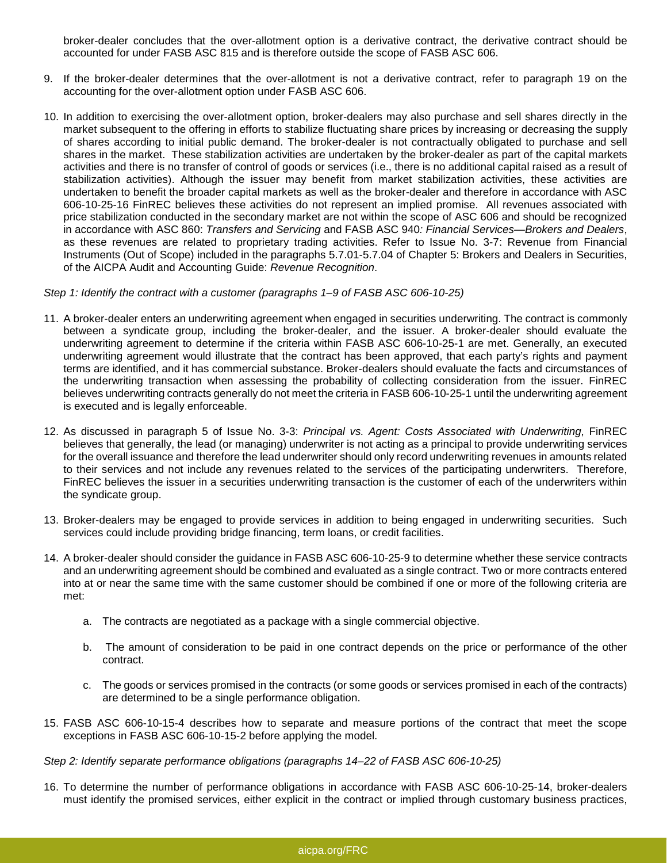broker-dealer concludes that the over-allotment option is a derivative contract, the derivative contract should be accounted for under FASB ASC 815 and is therefore outside the scope of FASB ASC 606.

- 9. If the broker-dealer determines that the over-allotment is not a derivative contract, refer to paragraph 19 on the accounting for the over-allotment option under FASB ASC 606.
- 10. In addition to exercising the over-allotment option, broker-dealers may also purchase and sell shares directly in the market subsequent to the offering in efforts to stabilize fluctuating share prices by increasing or decreasing the supply of shares according to initial public demand. The broker-dealer is not contractually obligated to purchase and sell shares in the market. These stabilization activities are undertaken by the broker-dealer as part of the capital markets activities and there is no transfer of control of goods or services (i.e., there is no additional capital raised as a result of stabilization activities). Although the issuer may benefit from market stabilization activities, these activities are undertaken to benefit the broader capital markets as well as the broker-dealer and therefore in accordance with ASC 606-10-25-16 FinREC believes these activities do not represent an implied promise. All revenues associated with price stabilization conducted in the secondary market are not within the scope of ASC 606 and should be recognized in accordance with ASC 860: *Transfers and Servicing* and FASB ASC 940*: Financial Services—Brokers and Dealers*, as these revenues are related to proprietary trading activities. Refer to Issue No. 3-7: Revenue from Financial Instruments (Out of Scope) included in the paragraphs 5.7.01-5.7.04 of Chapter 5: Brokers and Dealers in Securities, of the AICPA Audit and Accounting Guide: *Revenue Recognition*.

#### *Step 1: Identify the contract with a customer (paragraphs 1–9 of FASB ASC 606-10-25)*

- 11. A broker-dealer enters an underwriting agreement when engaged in securities underwriting. The contract is commonly between a syndicate group, including the broker-dealer, and the issuer. A broker-dealer should evaluate the underwriting agreement to determine if the criteria within FASB ASC 606-10-25-1 are met. Generally, an executed underwriting agreement would illustrate that the contract has been approved, that each party's rights and payment terms are identified, and it has commercial substance. Broker-dealers should evaluate the facts and circumstances of the underwriting transaction when assessing the probability of collecting consideration from the issuer. FinREC believes underwriting contracts generally do not meet the criteria in FASB 606-10-25-1 until the underwriting agreement is executed and is legally enforceable.
- 12. As discussed in paragraph 5 of Issue No. 3-3: *Principal vs. Agent: Costs Associated with Underwriting*, FinREC believes that generally, the lead (or managing) underwriter is not acting as a principal to provide underwriting services for the overall issuance and therefore the lead underwriter should only record underwriting revenues in amounts related to their services and not include any revenues related to the services of the participating underwriters. Therefore, FinREC believes the issuer in a securities underwriting transaction is the customer of each of the underwriters within the syndicate group.
- 13. Broker-dealers may be engaged to provide services in addition to being engaged in underwriting securities. Such services could include providing bridge financing, term loans, or credit facilities.
- 14. A broker-dealer should consider the guidance in FASB ASC 606-10-25-9 to determine whether these service contracts and an underwriting agreement should be combined and evaluated as a single contract. Two or more contracts entered into at or near the same time with the same customer should be combined if one or more of the following criteria are met:
	- a. The contracts are negotiated as a package with a single commercial objective.
	- b. The amount of consideration to be paid in one contract depends on the price or performance of the other contract.
	- c. The goods or services promised in the contracts (or some goods or services promised in each of the contracts) are determined to be a single performance obligation.
- 15. FASB ASC 606-10-15-4 describes how to separate and measure portions of the contract that meet the scope exceptions in FASB ASC 606-10-15-2 before applying the model.

*Step 2: Identify separate performance obligations (paragraphs 14–22 of FASB ASC 606-10-25)* 

16. To determine the number of performance obligations in accordance with FASB ASC 606-10-25-14, broker-dealers must identify the promised services, either explicit in the contract or implied through customary business practices,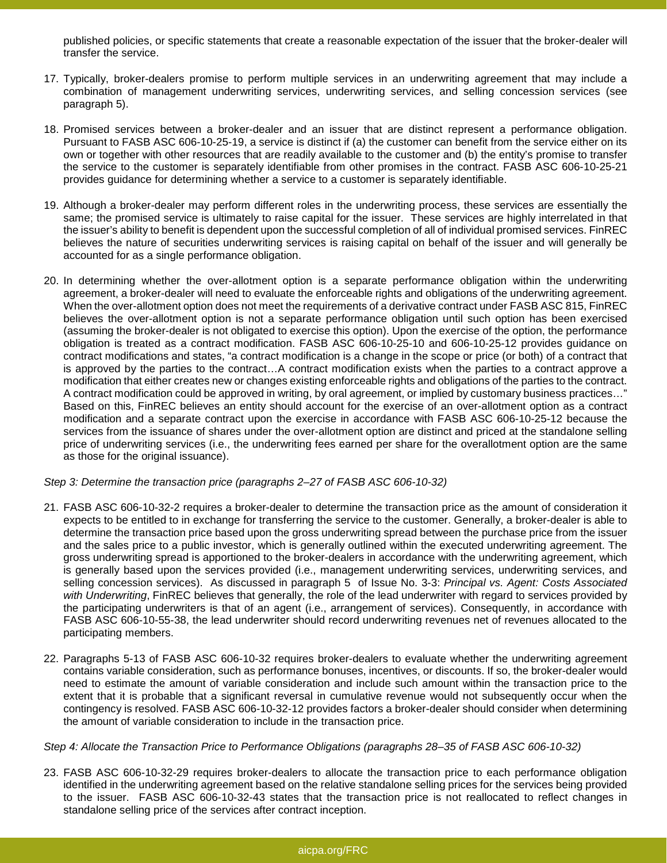published policies, or specific statements that create a reasonable expectation of the issuer that the broker-dealer will transfer the service.

- 17. Typically, broker-dealers promise to perform multiple services in an underwriting agreement that may include a combination of management underwriting services, underwriting services, and selling concession services (see paragraph 5).
- 18. Promised services between a broker-dealer and an issuer that are distinct represent a performance obligation. Pursuant to FASB ASC 606-10-25-19, a service is distinct if (a) the customer can benefit from the service either on its own or together with other resources that are readily available to the customer and (b) the entity's promise to transfer the service to the customer is separately identifiable from other promises in the contract. FASB ASC 606-10-25-21 provides guidance for determining whether a service to a customer is separately identifiable.
- 19. Although a broker-dealer may perform different roles in the underwriting process, these services are essentially the same; the promised service is ultimately to raise capital for the issuer. These services are highly interrelated in that the issuer's ability to benefit is dependent upon the successful completion of all of individual promised services. FinREC believes the nature of securities underwriting services is raising capital on behalf of the issuer and will generally be accounted for as a single performance obligation.
- 20. In determining whether the over-allotment option is a separate performance obligation within the underwriting agreement, a broker-dealer will need to evaluate the enforceable rights and obligations of the underwriting agreement. When the over-allotment option does not meet the requirements of a derivative contract under FASB ASC 815, FinREC believes the over-allotment option is not a separate performance obligation until such option has been exercised (assuming the broker-dealer is not obligated to exercise this option). Upon the exercise of the option, the performance obligation is treated as a contract modification. FASB ASC 606-10-25-10 and 606-10-25-12 provides guidance on contract modifications and states, "a contract modification is a change in the scope or price (or both) of a contract that is approved by the parties to the contract…A contract modification exists when the parties to a contract approve a modification that either creates new or changes existing enforceable rights and obligations of the parties to the contract. A contract modification could be approved in writing, by oral agreement, or implied by customary business practices…" Based on this, FinREC believes an entity should account for the exercise of an over-allotment option as a contract modification and a separate contract upon the exercise in accordance with FASB ASC 606-10-25-12 because the services from the issuance of shares under the over-allotment option are distinct and priced at the standalone selling price of underwriting services (i.e., the underwriting fees earned per share for the overallotment option are the same as those for the original issuance).

#### *Step 3: Determine the transaction price (paragraphs 2–27 of FASB ASC 606-10-32)*

- 21. FASB ASC 606-10-32-2 requires a broker-dealer to determine the transaction price as the amount of consideration it expects to be entitled to in exchange for transferring the service to the customer. Generally, a broker-dealer is able to determine the transaction price based upon the gross underwriting spread between the purchase price from the issuer and the sales price to a public investor, which is generally outlined within the executed underwriting agreement. The gross underwriting spread is apportioned to the broker-dealers in accordance with the underwriting agreement, which is generally based upon the services provided (i.e., management underwriting services, underwriting services, and selling concession services). As discussed in paragraph 5 of Issue No. 3-3: *Principal vs. Agent: Costs Associated with Underwriting*, FinREC believes that generally, the role of the lead underwriter with regard to services provided by the participating underwriters is that of an agent (i.e., arrangement of services). Consequently, in accordance with FASB ASC 606-10-55-38, the lead underwriter should record underwriting revenues net of revenues allocated to the participating members.
- 22. Paragraphs 5-13 of FASB ASC 606-10-32 requires broker-dealers to evaluate whether the underwriting agreement contains variable consideration, such as performance bonuses, incentives, or discounts. If so, the broker-dealer would need to estimate the amount of variable consideration and include such amount within the transaction price to the extent that it is probable that a significant reversal in cumulative revenue would not subsequently occur when the contingency is resolved. FASB ASC 606-10-32-12 provides factors a broker-dealer should consider when determining the amount of variable consideration to include in the transaction price.

#### *Step 4: Allocate the Transaction Price to Performance Obligations (paragraphs 28–35 of FASB ASC 606-10-32)*

23. FASB ASC 606-10-32-29 requires broker-dealers to allocate the transaction price to each performance obligation identified in the underwriting agreement based on the relative standalone selling prices for the services being provided to the issuer. FASB ASC 606-10-32-43 states that the transaction price is not reallocated to reflect changes in standalone selling price of the services after contract inception.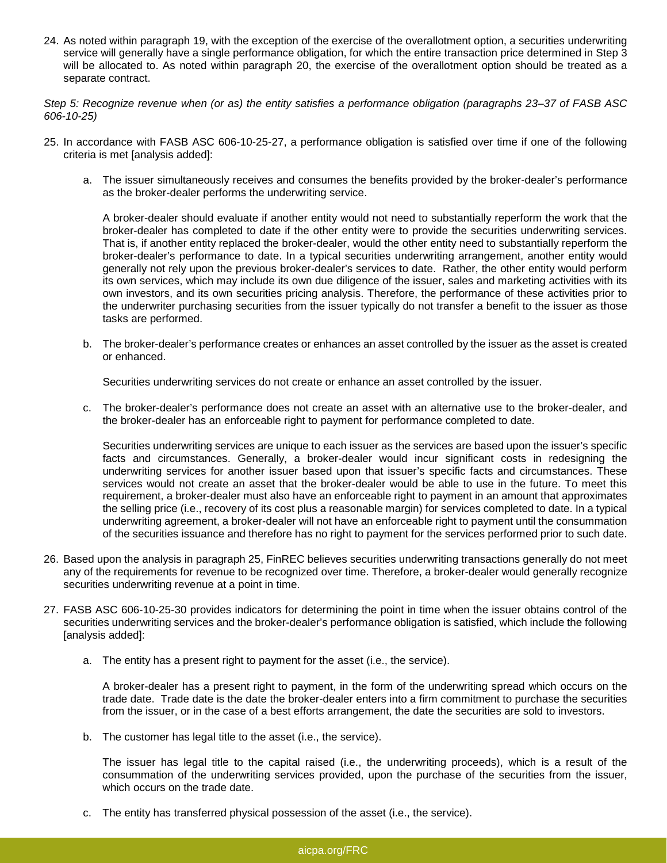24. As noted within paragraph 19, with the exception of the exercise of the overallotment option, a securities underwriting service will generally have a single performance obligation, for which the entire transaction price determined in Step 3 will be allocated to. As noted within paragraph 20, the exercise of the overallotment option should be treated as a separate contract.

*Step 5: Recognize revenue when (or as) the entity satisfies a performance obligation (paragraphs 23–37 of FASB ASC 606-10-25)*

- 25. In accordance with FASB ASC 606-10-25-27, a performance obligation is satisfied over time if one of the following criteria is met [analysis added]:
	- a. The issuer simultaneously receives and consumes the benefits provided by the broker-dealer's performance as the broker-dealer performs the underwriting service.

A broker-dealer should evaluate if another entity would not need to substantially reperform the work that the broker-dealer has completed to date if the other entity were to provide the securities underwriting services. That is, if another entity replaced the broker-dealer, would the other entity need to substantially reperform the broker-dealer's performance to date. In a typical securities underwriting arrangement, another entity would generally not rely upon the previous broker-dealer's services to date. Rather, the other entity would perform its own services, which may include its own due diligence of the issuer, sales and marketing activities with its own investors, and its own securities pricing analysis. Therefore, the performance of these activities prior to the underwriter purchasing securities from the issuer typically do not transfer a benefit to the issuer as those tasks are performed.

b. The broker-dealer's performance creates or enhances an asset controlled by the issuer as the asset is created or enhanced.

Securities underwriting services do not create or enhance an asset controlled by the issuer.

c. The broker-dealer's performance does not create an asset with an alternative use to the broker-dealer, and the broker-dealer has an enforceable right to payment for performance completed to date.

Securities underwriting services are unique to each issuer as the services are based upon the issuer's specific facts and circumstances. Generally, a broker-dealer would incur significant costs in redesigning the underwriting services for another issuer based upon that issuer's specific facts and circumstances. These services would not create an asset that the broker-dealer would be able to use in the future. To meet this requirement, a broker-dealer must also have an enforceable right to payment in an amount that approximates the selling price (i.e., recovery of its cost plus a reasonable margin) for services completed to date. In a typical underwriting agreement, a broker-dealer will not have an enforceable right to payment until the consummation of the securities issuance and therefore has no right to payment for the services performed prior to such date.

- 26. Based upon the analysis in paragraph 25, FinREC believes securities underwriting transactions generally do not meet any of the requirements for revenue to be recognized over time. Therefore, a broker-dealer would generally recognize securities underwriting revenue at a point in time.
- 27. FASB ASC 606-10-25-30 provides indicators for determining the point in time when the issuer obtains control of the securities underwriting services and the broker-dealer's performance obligation is satisfied, which include the following [analysis added]:
	- a. The entity has a present right to payment for the asset (i.e., the service).

A broker-dealer has a present right to payment, in the form of the underwriting spread which occurs on the trade date. Trade date is the date the broker-dealer enters into a firm commitment to purchase the securities from the issuer, or in the case of a best efforts arrangement, the date the securities are sold to investors.

b. The customer has legal title to the asset (i.e., the service).

The issuer has legal title to the capital raised (i.e., the underwriting proceeds), which is a result of the consummation of the underwriting services provided, upon the purchase of the securities from the issuer, which occurs on the trade date.

c. The entity has transferred physical possession of the asset (i.e., the service).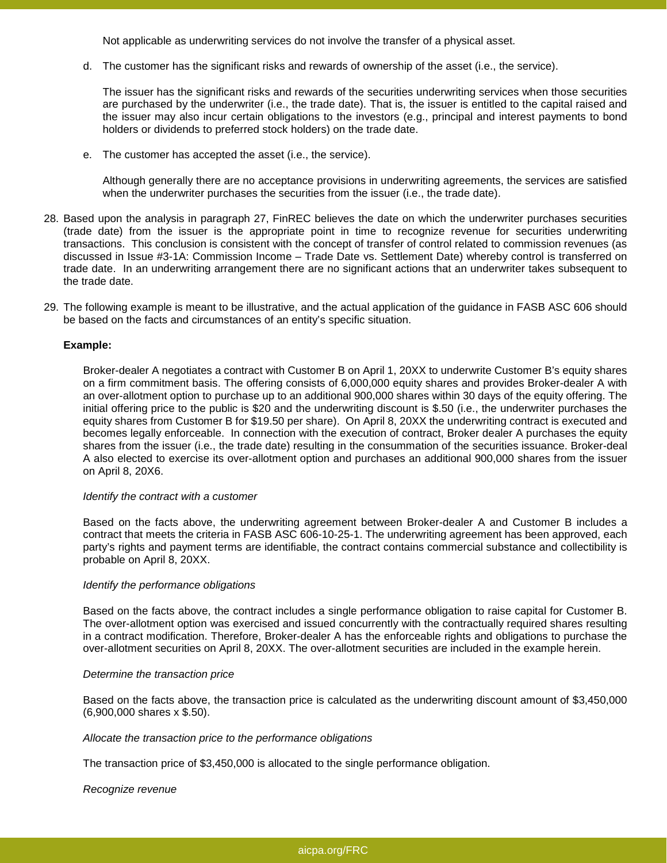Not applicable as underwriting services do not involve the transfer of a physical asset.

d. The customer has the significant risks and rewards of ownership of the asset (i.e., the service).

The issuer has the significant risks and rewards of the securities underwriting services when those securities are purchased by the underwriter (i.e., the trade date). That is, the issuer is entitled to the capital raised and the issuer may also incur certain obligations to the investors (e.g., principal and interest payments to bond holders or dividends to preferred stock holders) on the trade date.

e. The customer has accepted the asset (i.e., the service).

Although generally there are no acceptance provisions in underwriting agreements, the services are satisfied when the underwriter purchases the securities from the issuer (i.e., the trade date).

- 28. Based upon the analysis in paragraph 27, FinREC believes the date on which the underwriter purchases securities (trade date) from the issuer is the appropriate point in time to recognize revenue for securities underwriting transactions. This conclusion is consistent with the concept of transfer of control related to commission revenues (as discussed in Issue #3-1A: Commission Income – Trade Date vs. Settlement Date) whereby control is transferred on trade date. In an underwriting arrangement there are no significant actions that an underwriter takes subsequent to the trade date.
- 29. The following example is meant to be illustrative, and the actual application of the guidance in FASB ASC 606 should be based on the facts and circumstances of an entity's specific situation.

#### **Example:**

Broker-dealer A negotiates a contract with Customer B on April 1, 20XX to underwrite Customer B's equity shares on a firm commitment basis. The offering consists of 6,000,000 equity shares and provides Broker-dealer A with an over-allotment option to purchase up to an additional 900,000 shares within 30 days of the equity offering. The initial offering price to the public is \$20 and the underwriting discount is \$.50 (i.e., the underwriter purchases the equity shares from Customer B for \$19.50 per share). On April 8, 20XX the underwriting contract is executed and becomes legally enforceable. In connection with the execution of contract, Broker dealer A purchases the equity shares from the issuer (i.e., the trade date) resulting in the consummation of the securities issuance. Broker-deal A also elected to exercise its over-allotment option and purchases an additional 900,000 shares from the issuer on April 8, 20X6.

#### *Identify the contract with a customer*

Based on the facts above, the underwriting agreement between Broker-dealer A and Customer B includes a contract that meets the criteria in FASB ASC 606-10-25-1. The underwriting agreement has been approved, each party's rights and payment terms are identifiable, the contract contains commercial substance and collectibility is probable on April 8, 20XX.

#### *Identify the performance obligations*

Based on the facts above, the contract includes a single performance obligation to raise capital for Customer B. The over-allotment option was exercised and issued concurrently with the contractually required shares resulting in a contract modification. Therefore, Broker-dealer A has the enforceable rights and obligations to purchase the over-allotment securities on April 8, 20XX. The over-allotment securities are included in the example herein.

#### *Determine the transaction price*

Based on the facts above, the transaction price is calculated as the underwriting discount amount of \$3,450,000 (6,900,000 shares x \$.50).

#### *Allocate the transaction price to the performance obligations*

The transaction price of \$3,450,000 is allocated to the single performance obligation.

#### *Recognize revenue*